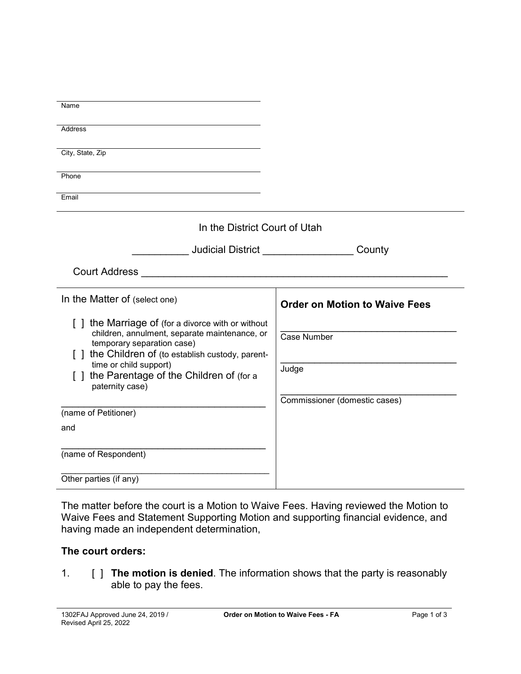| Name                                                                                                                                                                                                                                                                           |                                      |
|--------------------------------------------------------------------------------------------------------------------------------------------------------------------------------------------------------------------------------------------------------------------------------|--------------------------------------|
| Address                                                                                                                                                                                                                                                                        |                                      |
| City, State, Zip                                                                                                                                                                                                                                                               |                                      |
| Phone                                                                                                                                                                                                                                                                          |                                      |
| Email                                                                                                                                                                                                                                                                          |                                      |
| In the District Court of Utah                                                                                                                                                                                                                                                  |                                      |
| <b>Judicial District Contract Contract Contract Contract Contract Contract Contract Contract Contract Contract Contract Contract Contract Contract Contract Contract Contract Contract Contract Contract Contract Contract Con</b>                                             | County                               |
| Court Address <b>Court Address Court Address</b>                                                                                                                                                                                                                               |                                      |
| In the Matter of (select one)                                                                                                                                                                                                                                                  | <b>Order on Motion to Waive Fees</b> |
| [] the Marriage of (for a divorce with or without<br>children, annulment, separate maintenance, or<br>temporary separation case)<br>[ ] the Children of (to establish custody, parent-<br>time or child support)<br>the Parentage of the Children of (for a<br>paternity case) | Case Number<br>Judge                 |
| (name of Petitioner)                                                                                                                                                                                                                                                           | Commissioner (domestic cases)        |
| and                                                                                                                                                                                                                                                                            |                                      |
| (name of Respondent)                                                                                                                                                                                                                                                           |                                      |
| Other parties (if any)                                                                                                                                                                                                                                                         |                                      |

The matter before the court is a Motion to Waive Fees. Having reviewed the Motion to Waive Fees and Statement Supporting Motion and supporting financial evidence, and having made an independent determination,

## **The court orders:**

1. [ ] **The motion is denied**. The information shows that the party is reasonably able to pay the fees.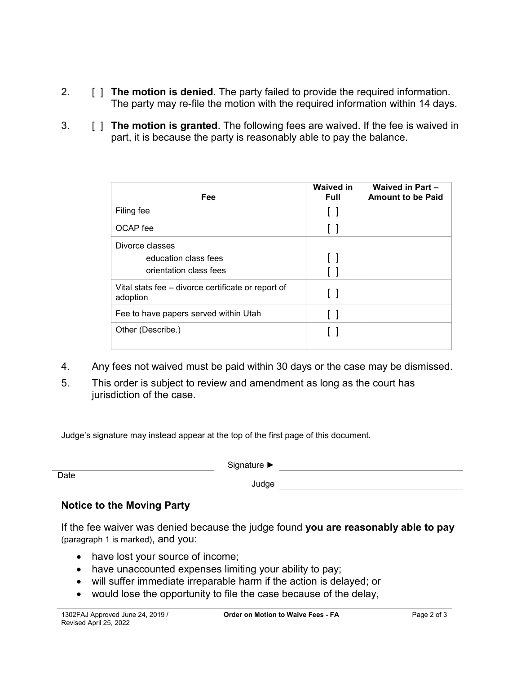- 2. [ ] **The motion is denied**. The party failed to provide the required information. The party may re-file the motion with the required information within 14 days.
- 3. [ ] **The motion is granted**. The following fees are waived. If the fee is waived in part, it is because the party is reasonably able to pay the balance.

| <b>Fee</b>                                                        | <b>Waived in</b><br><b>Full</b> | <b>Waived in Part -</b><br><b>Amount to be Paid</b> |
|-------------------------------------------------------------------|---------------------------------|-----------------------------------------------------|
| Filing fee                                                        | $\mathsf{L}$                    |                                                     |
| OCAP fee                                                          | $\perp$                         |                                                     |
| Divorce classes<br>education class fees<br>orientation class fees | $\perp$<br>$\Box$               |                                                     |
| Vital stats fee – divorce certificate or report of<br>adoption    | $\Box$                          |                                                     |
| Fee to have papers served within Utah                             | $\mathbf{L}$                    |                                                     |
| Other (Describe.)                                                 |                                 |                                                     |

- 4. Any fees not waived must be paid within 30 days or the case may be dismissed.
- 5. This order is subject to review and amendment as long as the court has jurisdiction of the case.

Judge's signature may instead appear at the top of the first page of this document.

Date

Signature ►

## **Notice to the Moving Party**

If the fee waiver was denied because the judge found **you are reasonably able to pay** (paragraph 1 is marked), and you:

- have lost your source of income;
- have unaccounted expenses limiting your ability to pay;
- will suffer immediate irreparable harm if the action is delayed; or
- would lose the opportunity to file the case because of the delay,

Judge

<u> 1989 - Johann Barn, mars ar breist bestjoerde te gemeente kommen.</u>